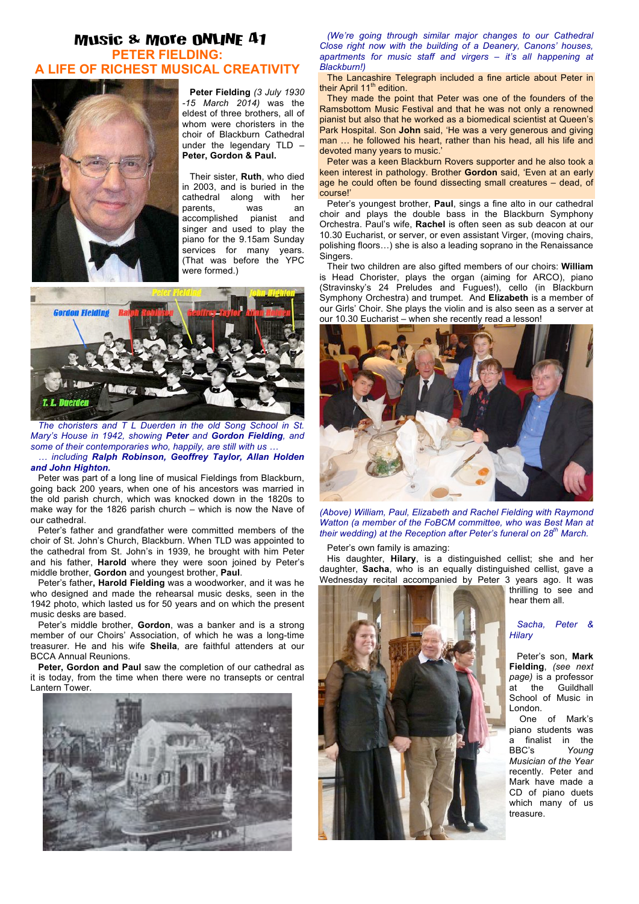## Music & More ONLINE 41 **PETER FIELDING: A LIFE OF RICHEST MUSICAL CREATIVITY**



**Peter Fielding** *(3 July 1930 -15 March 2014)* was the eldest of three brothers, all of whom were choristers in the choir of Blackburn Cathedral under the legendary TLD – **Peter, Gordon & Paul.**

Their sister, **Ruth**, who died in 2003, and is buried in the cathedral along with her parents, was an accomplished pianist and singer and used to play the piano for the 9.15am Sunday services for many years. (That was before the YPC were formed.)



*The choristers and T L Duerden in the old Song School in St. Mary's House in 1942, showing Peter and Gordon Fielding, and some of their contemporaries who, happily, are still with us … … including Ralph Robinson, Geoffrey Taylor, Allan Holden and John Highton.*

Peter was part of a long line of musical Fieldings from Blackburn, going back 200 years, when one of his ancestors was married in the old parish church, which was knocked down in the 1820s to make way for the 1826 parish church – which is now the Nave of our cathedral.

Peter's father and grandfather were committed members of the choir of St. John's Church, Blackburn. When TLD was appointed to the cathedral from St. John's in 1939, he brought with him Peter and his father, **Harold** where they were soon joined by Peter's middle brother, **Gordon** and youngest brother, **Paul**.

Peter's father**, Harold Fielding** was a woodworker, and it was he who designed and made the rehearsal music desks, seen in the 1942 photo, which lasted us for 50 years and on which the present music desks are based.

Peter's middle brother, **Gordon**, was a banker and is a strong member of our Choirs' Association, of which he was a long-time treasurer. He and his wife **Sheila**, are faithful attenders at our BCCA Annual Reunions.

**Peter, Gordon and Paul** saw the completion of our cathedral as it is today, from the time when there were no transepts or central Lantern Tower.



*(We're going through similar major changes to our Cathedral Close right now with the building of a Deanery, Canons' houses, apartments for music staff and virgers – it's all happening at Blackburn!)*

The Lancashire Telegraph included a fine article about Peter in their April 11<sup>th</sup> edition.

They made the point that Peter was one of the founders of the Ramsbottom Music Festival and that he was not only a renowned pianist but also that he worked as a biomedical scientist at Queen's Park Hospital. Son **John** said, 'He was a very generous and giving man … he followed his heart, rather than his head, all his life and devoted many years to music.'

Peter was a keen Blackburn Rovers supporter and he also took a keen interest in pathology. Brother **Gordon** said, 'Even at an early age he could often be found dissecting small creatures – dead, of course!'

Peter's youngest brother, **Paul**, sings a fine alto in our cathedral choir and plays the double bass in the Blackburn Symphony Orchestra. Paul's wife, **Rachel** is often seen as sub deacon at our 10.30 Eucharist, or server, or even assistant Virger, (moving chairs, polishing floors…) she is also a leading soprano in the Renaissance **Singers** 

Their two children are also gifted members of our choirs: **William** is Head Chorister, plays the organ (aiming for ARCO), piano (Stravinsky's 24 Preludes and Fugues!), cello (in Blackburn Symphony Orchestra) and trumpet. And **Elizabeth** is a member of our Girls' Choir. She plays the violin and is also seen as a server at our 10.30 Eucharist – when she recently read a lesson!



*(Above) William, Paul, Elizabeth and Rachel Fielding with Raymond Watton (a member of the FoBCM committee, who was Best Man at their wedding) at the Reception after Peter's funeral on 28th March.*

Peter's own family is amazing:

His daughter, **Hilary**, is a distinguished cellist; she and her daughter, **Sacha**, who is an equally distinguished cellist, gave a Wednesday recital accompanied by Peter 3 years ago. It was



thrilling to see and hear them all.

> *Sacha, Peter & Hilary*

Peter's son, **Mark Fielding**, *(see next page)* is a professor<br>at the Guildhall at the School of Music in London.

 One of Mark's piano students was a finalist in the<br>BBC's Young Young *Musician of the Year* recently. Peter and Mark have made a CD of piano duets which many of us treasure.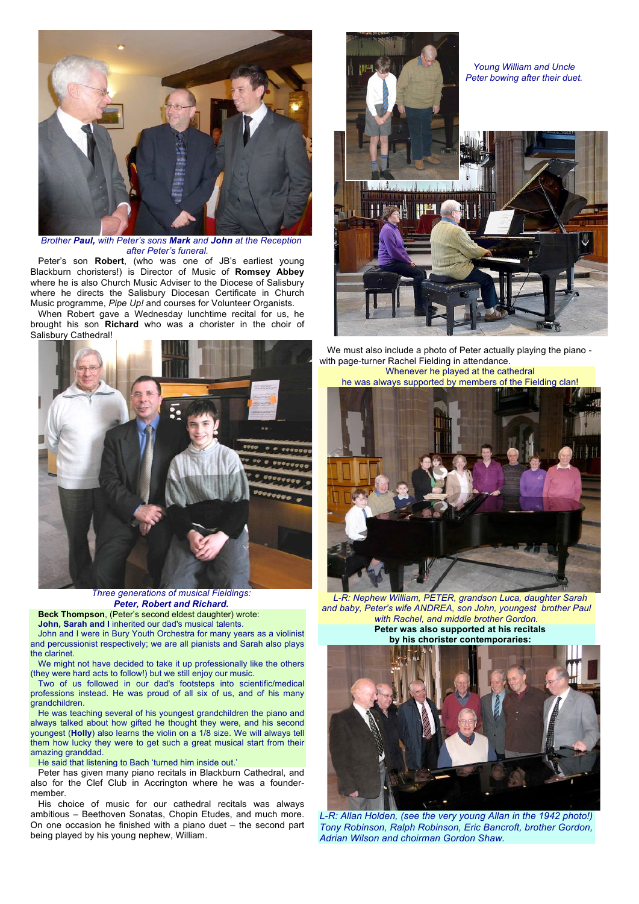

*Brother Paul, with Peter's sons Mark and John at the Reception after Peter's funeral.*

Peter's son **Robert**, (who was one of JB's earliest young Blackburn choristers!) is Director of Music of **Romsey Abbey** where he is also Church Music Adviser to the Diocese of Salisbury where he directs the Salisbury Diocesan Certificate in Church Music programme, *Pipe Up!* and courses for Volunteer Organists.

When Robert gave a Wednesday lunchtime recital for us, he brought his son **Richard** who was a chorister in the choir of Salisbury Cathedral!



*Three generations of musical Fieldings: Peter, Robert and Richard.*

**Beck Thompson**, (Peter's second eldest daughter) wrote: **John, Sarah and I** inherited our dad's musical talents.

John and I were in Bury Youth Orchestra for many years as a violinist and percussionist respectively; we are all pianists and Sarah also plays the clarinet.

We might not have decided to take it up professionally like the others (they were hard acts to follow!) but we still enjoy our music.

Two of us followed in our dad's footsteps into scientific/medical professions instead. He was proud of all six of us, and of his many grandchildren.

He was teaching several of his youngest grandchildren the piano and always talked about how gifted he thought they were, and his second youngest (**Holly**) also learns the violin on a 1/8 size. We will always tell them how lucky they were to get such a great musical start from their amazing granddad.

He said that listening to Bach 'turned him inside out.'

Peter has given many piano recitals in Blackburn Cathedral, and also for the Clef Club in Accrington where he was a foundermember.

His choice of music for our cathedral recitals was always ambitious – Beethoven Sonatas, Chopin Etudes, and much more. On one occasion he finished with a piano duet – the second part being played by his young nephew, William.



We must also include a photo of Peter actually playing the piano with page-turner Rachel Fielding in attendance.

Whenever he played at the cathedral he was always supported by members of the Fielding clan!



*L-R: Nephew William, PETER, grandson Luca, daughter Sarah and baby, Peter's wife ANDREA, son John, youngest brother Paul with Rachel, and middle brother Gordon.* **Peter was also supported at his recitals by his chorister contemporaries:**



L-R: Allan Holden, (see the very young Allan in the 1942 photo!) *Tony Robinson, Ralph Robinson, Eric Bancroft, brother Gordon, Adrian Wilson and choirman Gordon Shaw.*